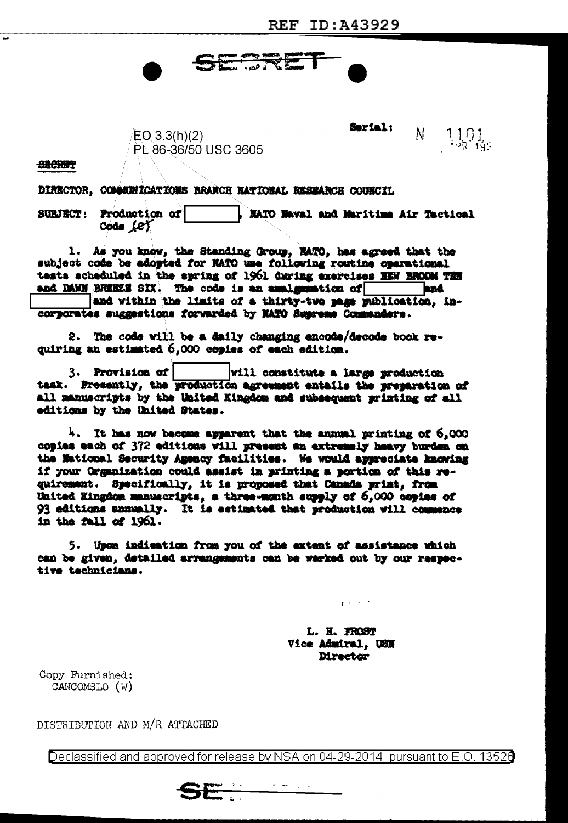$EO 3.3(h)(2)$ PL 86-36/50 USC 3605 Serial:  $\mathsf{N}^ \frac{1101}{100}$ 

**SECRET** 

DIRECTOR, COMMONICATIONS BRANCH NATIONAL RESEARCH COUNCIL

SURJECT: Production of WATO Naval and Maritime Air Tactical Code Let

SERRET

1. As you know, the Standing Group, MATO, has agreed that the subject code be adopted for NATO use following routine operational tests scheduled in the spring of 1961 during exercises MEN BROOM THE and DAWN BREEZE SIX. The code is an amalgamation of **the conduction** 

and within the limits of a thirty-two page publication, incorporates suggestions forwarded by NATO Susreme Commanders.

2. The code will be a daily changing encode/decode book requiring an estimated 5,000 copies of each edition.

will constitute a large production 3. Provision of task. Presently, the production agreement entails the preparation of all manuscripts by the United Kingdom and subsequent printing of all editions by the United States.

4. It has now become apparent that the annual printing of 6,000 copies each of 372 editions will present an extremely heavy burden on the National Security Agency facilities. We would appreciate knowing if your Organization could assist in printing a portion of this requirement. Specifically, it is proposed that Canada print, from United Kingdom manuscripts, a three-month supply of 6,000 copies of 93 editions annually. It is estimated that production will commence in the fall of 1961.

5. Upon indication from you of the extent of assistance which can be given, detailed arrangements can be warked out by our respective technicians.

> L. H. FROST Vice Admiral, USN **Director**

المتارين والتواطر

Copy Furnished: CANCOMSLO (W)

DISTRIBUTION AND M/R ATTACHED

Declassified and approved for release by NSA on 04-29-2014 pursuant to E.O. 13526